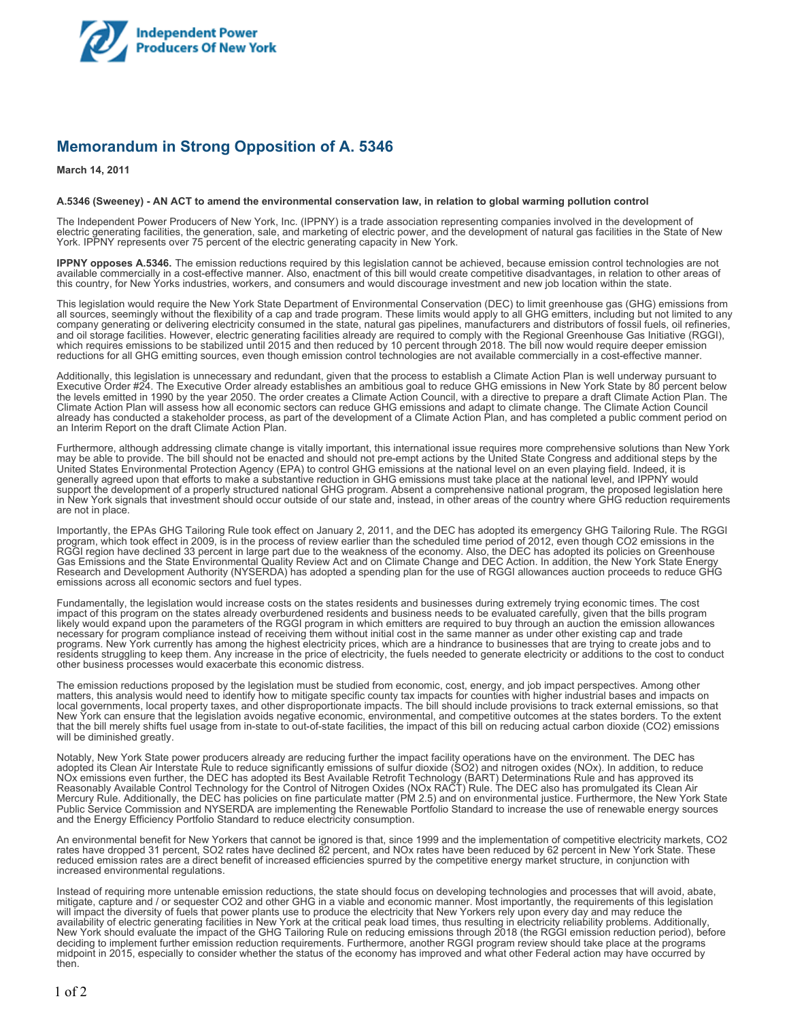

## **Memorandum in Strong Opposition of A. 5346**

**March 14, 2011**

## **A.5346 (Sweeney) - AN ACT to amend the environmental conservation law, in relation to global warming pollution control**

The Independent Power Producers of New York, Inc. (IPPNY) is a trade association representing companies involved in the development of electric generating facilities, the generation, sale, and marketing of electric power, and the development of natural gas facilities in the State of New York. IPPNY represents over 75 percent of the electric generating capacity in New York.

**IPPNY opposes A.5346.** The emission reductions required by this legislation cannot be achieved, because emission control technologies are not available commercially in a cost-effective manner. Also, enactment of this bill would create competitive disadvantages, in relation to other areas of this country, for New Yorks industries, workers, and consumers and would discourage investment and new job location within the state.

This legislation would require the New York State Department of Environmental Conservation (DEC) to limit greenhouse gas (GHG) emissions from all sources, seemingly without the flexibility of a cap and trade program. These limits would apply to all GHG emitters, including but not limited to any company generating or delivering electricity consumed in the state, natural gas pipelines, manufacturers and distributors of fossil fuels, oil refineries, and oil storage facilities. However, electric generating facilities already are required to comply with the Regional Greenhouse Gas Initiative (RGGI), which requires emissions to be stabilized until 2015 and then reduced by 10 percent through 2018. The bill now would require deeper emission reductions for all GHG emitting sources, even though emission control technologies are not available commercially in a cost-effective manner.

Additionally, this legislation is unnecessary and redundant, given that the process to establish a Climate Action Plan is well underway pursuant to Executive Order #24. The Executive Order already establishes an ambitious goal to reduce GHG emissions in New York State by 80 percent below the levels emitted in 1990 by the year 2050. The order creates a Climate Action Council, with a directive to prepare a draft Climate Action Plan. The Climate Action Plan will assess how all economic sectors can reduce GHG emissions and adapt to climate change. The Climate Action Council already has conducted a stakeholder process, as part of the development of a Climate Action Plan, and has completed a public comment period on an Interim Report on the draft Climate Action Plan.

Furthermore, although addressing climate change is vitally important, this international issue requires more comprehensive solutions than New York may be able to provide. The bill should not be enacted and should not pre-empt actions by the United State Congress and additional steps by the United States Environmental Protection Agency (EPA) to control GHG emissions at the national level on an even playing field. Indeed, it is generally agreed upon that efforts to make a substantive reduction in GHG emissions must take place at the national level, and IPPNY would support the development of a properly structured national GHG program. Absent a comprehensive national program, the proposed legislation here in New York signals that investment should occur outside of our state and, instead, in other areas of the country where GHG reduction requirements are not in place.

Importantly, the EPAs GHG Tailoring Rule took effect on January 2, 2011, and the DEC has adopted its emergency GHG Tailoring Rule. The RGGI program, which took effect in 2009, is in the process of review earlier than the scheduled time period of 2012, even though CO2 emissions in the RGGI region have declined 33 percent in large part due to the weakness of the economy. Also, the DEC has adopted its policies on Greenhouse Gas Emissions and the State Environmental Quality Review Act and on Climate Change and DEC Action. In addition, the New York State Energy Research and Development Authority (NYSERDA) has adopted a spending plan for the use of RGGI allowances auction proceeds to reduce GHG emissions across all economic sectors and fuel types.

Fundamentally, the legislation would increase costs on the states residents and businesses during extremely trying economic times. The cost impact of this program on the states already overburdened residents and business needs to be evaluated carefully, given that the bills program likely would expand upon the parameters of the RGGI program in which emitters are required to buy through an auction the emission allowances necessary for program compliance instead of receiving them without initial cost in the same manner as under other existing cap and trade programs. New York currently has among the highest electricity prices, which are a hindrance to businesses that are trying to create jobs and to residents struggling to keep them. Any increase in the price of electricity, the fuels needed to generate electricity or additions to the cost to conduct other business processes would exacerbate this economic distress.

The emission reductions proposed by the legislation must be studied from economic, cost, energy, and job impact perspectives. Among other matters, this analysis would need to identify how to mitigate specific county tax impacts for counties with higher industrial bases and impacts on local governments, local property taxes, and other disproportionate impacts. The bill should include provisions to track external emissions, so that New York can ensure that the legislation avoids negative economic, environmental, and competitive outcomes at the states borders. To the extent that the bill merely shifts fuel usage from in-state to out-of-state facilities, the impact of this bill on reducing actual carbon dioxide (CO2) emissions will be diminished greatly.

Notably, New York State power producers already are reducing further the impact facility operations have on the environment. The DEC has adopted its Clean Air Interstate Rule to reduce significantly emissions of sulfur dioxide (SO2) and nitrogen oxides (NOx). In addition, to reduce NOx emissions even further, the DEC has adopted its Best Available Retrofit Technology (BART) Determinations Rule and has approved its Reasonably Available Control Technology for the Control of Nitrogen Oxides (NOx RACT) Rule. The DEC also has promulgated its Clean Air Mercury Rule. Additionally, the DEC has policies on fine particulate matter (PM 2.5) and on environmental justice. Furthermore, the New York State Public Service Commission and NYSERDA are implementing the Renewable Portfolio Standard to increase the use of renewable energy sources and the Energy Efficiency Portfolio Standard to reduce electricity consumption.

An environmental benefit for New Yorkers that cannot be ignored is that, since 1999 and the implementation of competitive electricity markets, CO2 rates have dropped 31 percent, SO2 rates have declined 82 percent, and NOx rates have been reduced by 62 percent in New York State. These reduced emission rates are a direct benefit of increased efficiencies spurred by the competitive energy market structure, in conjunction with increased environmental regulations.

Instead of requiring more untenable emission reductions, the state should focus on developing technologies and processes that will avoid, abate, mitigate, capture and / or sequester CO2 and other GHG in a viable and economic manner. Most importantly, the requirements of this legislation will impact the diversity of fuels that power plants use to produce the electricity that New Yorkers rely upon every day and may reduce the availability of electric generating facilities in New York at the critical peak load times, thus resulting in electricity reliability problems. Additionally, New York should evaluate the impact of the GHG Tailoring Rule on reducing emissions through 2018 (the RGGI emission reduction period), before deciding to implement further emission reduction requirements. Furthermore, another RGGI program review should take place at the programs midpoint in 2015, especially to consider whether the status of the economy has improved and what other Federal action may have occurred by then.